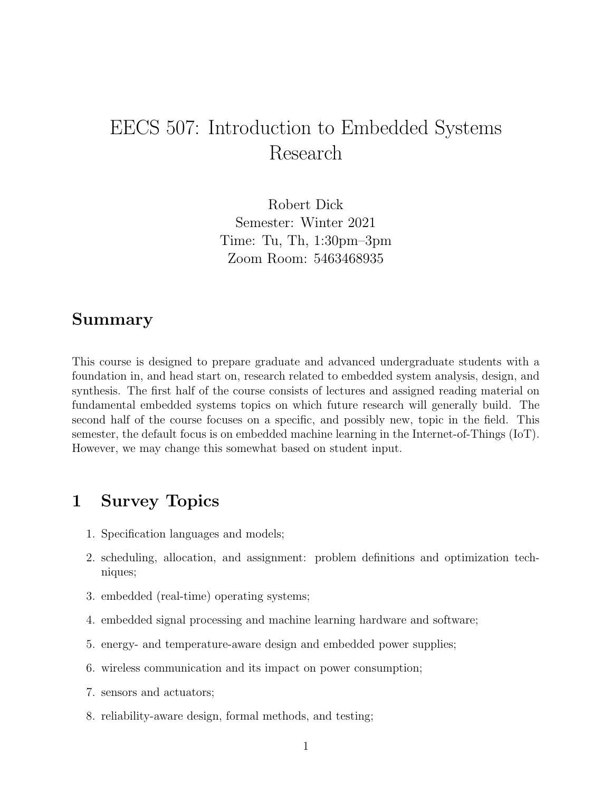# EECS 507: Introduction to Embedded Systems Research

Robert Dick Semester: Winter 2021 Time: Tu, Th, 1:30pm–3pm Zoom Room: 5463468935

#### Summary

This course is designed to prepare graduate and advanced undergraduate students with a foundation in, and head start on, research related to embedded system analysis, design, and synthesis. The first half of the course consists of lectures and assigned reading material on fundamental embedded systems topics on which future research will generally build. The second half of the course focuses on a specific, and possibly new, topic in the field. This semester, the default focus is on embedded machine learning in the Internet-of-Things (IoT). However, we may change this somewhat based on student input.

## 1 Survey Topics

- 1. Specification languages and models;
- 2. scheduling, allocation, and assignment: problem definitions and optimization techniques;
- 3. embedded (real-time) operating systems;
- 4. embedded signal processing and machine learning hardware and software;
- 5. energy- and temperature-aware design and embedded power supplies;
- 6. wireless communication and its impact on power consumption;
- 7. sensors and actuators;
- 8. reliability-aware design, formal methods, and testing;